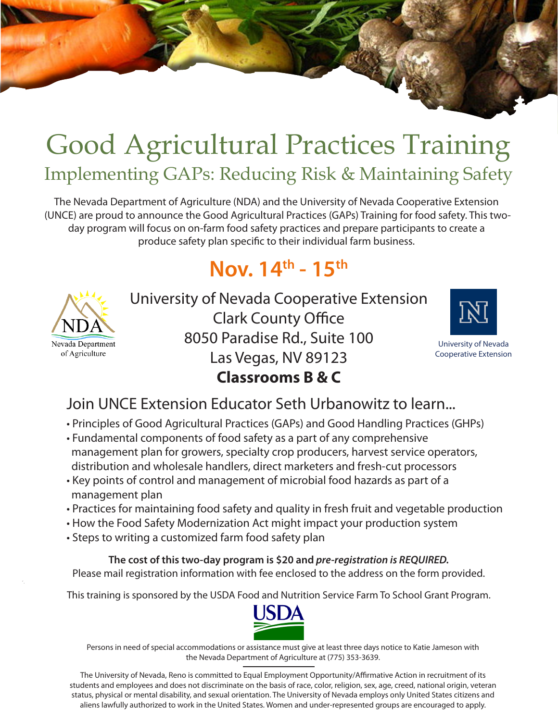# Good Agricultural Practices Training Implementing GAPs: Reducing Risk & Maintaining Safety

The Nevada Department of Agriculture (NDA) and the University of Nevada Cooperative Extension (UNCE) are proud to announce the Good Agricultural Practices (GAPs) Training for food safety. This twoday program will focus on on-farm food safety practices and prepare participants to create a produce safety plan specific to their individual farm business.

## **Nov. 14th - 15th**



University of Nevada Cooperative Extension Clark County Office 8050 Paradise Rd., Suite 100 Las Vegas, NV 89123 **Classrooms B & C**



University of Nevada Cooperative Extension

### Join UNCE Extension Educator Seth Urbanowitz to learn...

- Principles of Good Agricultural Practices (GAPs) and Good Handling Practices (GHPs)
- Fundamental components of food safety as a part of any comprehensive management plan for growers, specialty crop producers, harvest service operators, distribution and wholesale handlers, direct marketers and fresh-cut processors
- Key points of control and management of microbial food hazards as part of a management plan
- Practices for maintaining food safety and quality in fresh fruit and vegetable production
- How the Food Safety Modernization Act might impact your production system
- Steps to writing a customized farm food safety plan

**The cost of this two-day program is \$20 and** *pre-registration is REQUIRED.* Please mail registration information with fee enclosed to the address on the form provided.

This training is sponsored by the USDA Food and Nutrition Service Farm To School Grant Program.



Persons in need of special accommodations or assistance must give at least three days notice to Katie Jameson with the Nevada Department of Agriculture at (775) 353-3639.

The University of Nevada, Reno is committed to Equal Employment Opportunity/Affirmative Action in recruitment of its students and employees and does not discriminate on the basis of race, color, religion, sex, age, creed, national origin, veteran status, physical or mental disability, and sexual orientation. The University of Nevada employs only United States citizens and aliens lawfully authorized to work in the United States. Women and under-represented groups are encouraged to apply.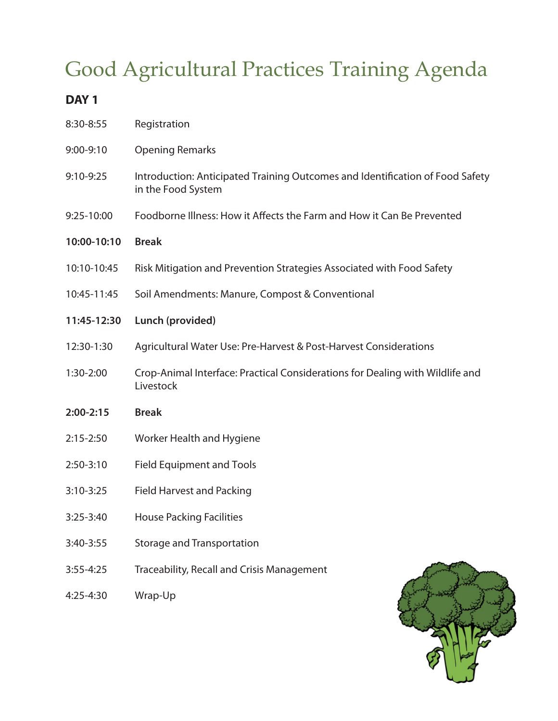# Good Agricultural Practices Training Agenda

### **DAY 1**

| 8:30-8:55   | Registration                                                                                        |
|-------------|-----------------------------------------------------------------------------------------------------|
| 9:00-9:10   | <b>Opening Remarks</b>                                                                              |
| 9:10-9:25   | Introduction: Anticipated Training Outcomes and Identification of Food Safety<br>in the Food System |
| 9:25-10:00  | Foodborne Illness: How it Affects the Farm and How it Can Be Prevented                              |
| 10:00-10:10 | <b>Break</b>                                                                                        |
| 10:10-10:45 | Risk Mitigation and Prevention Strategies Associated with Food Safety                               |
| 10:45-11:45 | Soil Amendments: Manure, Compost & Conventional                                                     |
| 11:45-12:30 | Lunch (provided)                                                                                    |
| 12:30-1:30  | Agricultural Water Use: Pre-Harvest & Post-Harvest Considerations                                   |
| 1:30-2:00   | Crop-Animal Interface: Practical Considerations for Dealing with Wildlife and<br>Livestock          |
| 2:00-2:15   | <b>Break</b>                                                                                        |
| 2:15-2:50   | Worker Health and Hygiene                                                                           |
| 2:50-3:10   | <b>Field Equipment and Tools</b>                                                                    |
| 3:10-3:25   | <b>Field Harvest and Packing</b>                                                                    |
| 3:25-3:40   | <b>House Packing Facilities</b>                                                                     |
| 3:40-3:55   | <b>Storage and Transportation</b>                                                                   |
| 3:55-4:25   | Traceability, Recall and Crisis Management                                                          |

4:25-4:30 Wrap-Up

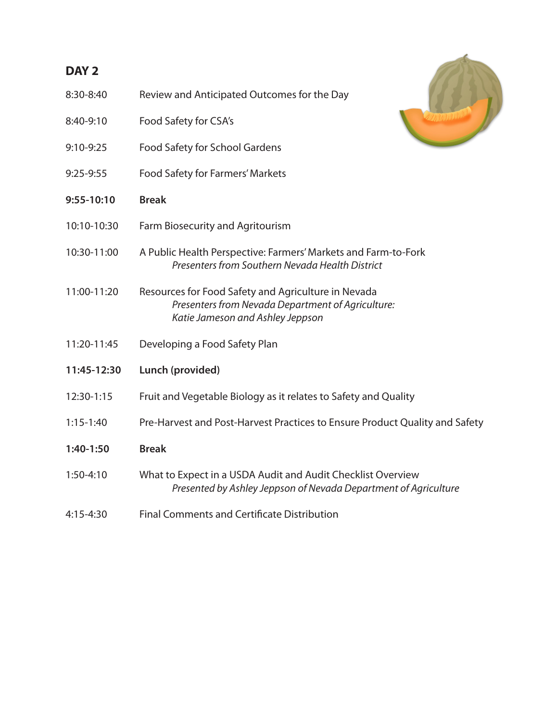#### **DAY 2**

| 8:30-8:40 | Review and Anticipated Outcomes for the Day |  |
|-----------|---------------------------------------------|--|
|           |                                             |  |

- 8:40-9:10 Food Safety for CSA's
- 9:10-9:25 Food Safety for School Gardens
- 9:25-9:55 Food Safety for Farmers' Markets
- **9:55-10:10 Break**
- 10:10-10:30 Farm Biosecurity and Agritourism
- 10:30-11:00 A Public Health Perspective: Farmers' Markets and Farm-to-Fork  *Presentersfrom Southern Nevada Health District*
- 11:00-11:20 Resources for Food Safety and Agriculture in Nevada *Presentersfrom Nevada Department of Agriculture: Katie Jameson and Ashley Jeppson*
- 11:20-11:45 Developing a Food Safety Plan
- **11:45-12:30 Lunch (provided)**
- 12:30-1:15 Fruit and Vegetable Biology as it relates to Safety and Quality
- 1:15-1:40 Pre-Harvest and Post-Harvest Practices to Ensure Product Quality and Safety
- **1:40-1:50 Break**
- 1:50-4:10 What to Expect in a USDA Audit and Audit Checklist Overview *Presented by Ashley Jeppson of Nevada Department of Agriculture*
- 4:15-4:30 Final Comments and Certificate Distribution

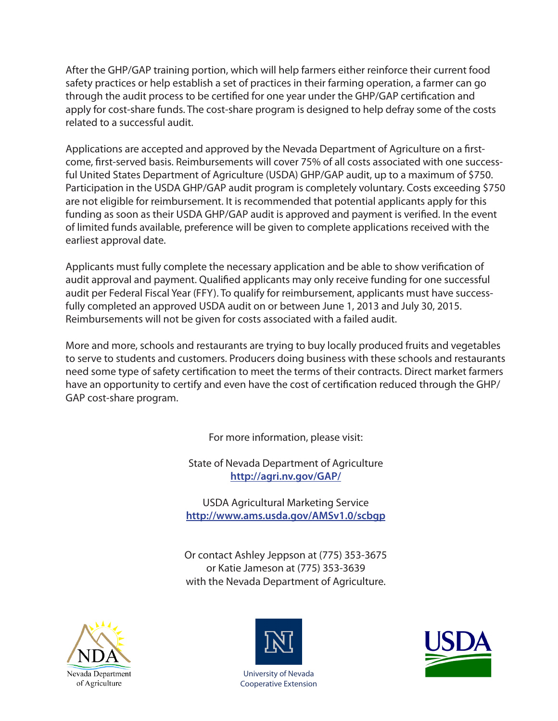After the GHP/GAP training portion, which will help farmers either reinforce their current food safety practices or help establish a set of practices in their farming operation, a farmer can go through the audit process to be certified for one year under the GHP/GAP certification and apply for cost-share funds. The cost-share program is designed to help defray some of the costs related to a successful audit.

Applications are accepted and approved by the Nevada Department of Agriculture on a firstcome, first-served basis. Reimbursements will cover 75% of all costs associated with one successful United States Department of Agriculture (USDA) GHP/GAP audit, up to a maximum of \$750. Participation in the USDA GHP/GAP audit program is completely voluntary. Costs exceeding \$750 are not eligible for reimbursement. It is recommended that potential applicants apply for this funding as soon as their USDA GHP/GAP audit is approved and payment is verified. In the event of limited funds available, preference will be given to complete applications received with the earliest approval date.

Applicants must fully complete the necessary application and be able to show verification of audit approval and payment. Qualified applicants may only receive funding for one successful audit per Federal Fiscal Year (FFY). To qualify for reimbursement, applicants must have successfully completed an approved USDA audit on or between June 1, 2013 and July 30, 2015. Reimbursements will not be given for costs associated with a failed audit.

More and more, schools and restaurants are trying to buy locally produced fruits and vegetables to serve to students and customers. Producers doing business with these schools and restaurants need some type of safety certification to meet the terms of their contracts. Direct market farmers have an opportunity to certify and even have the cost of certification reduced through the GHP/ GAP cost-share program.

For more information, please visit:

State of Nevada Department of Agriculture **http://agri.nv.gov/GAP/**

USDA Agricultural Marketing Service **http://www.ams.usda.gov/AMSv1.0/scbgp**

Or contact Ashley Jeppson at (775) 353-3675 or Katie Jameson at (775) 353-3639 with the Nevada Department of Agriculture.





University of Nevada Cooperative Extension